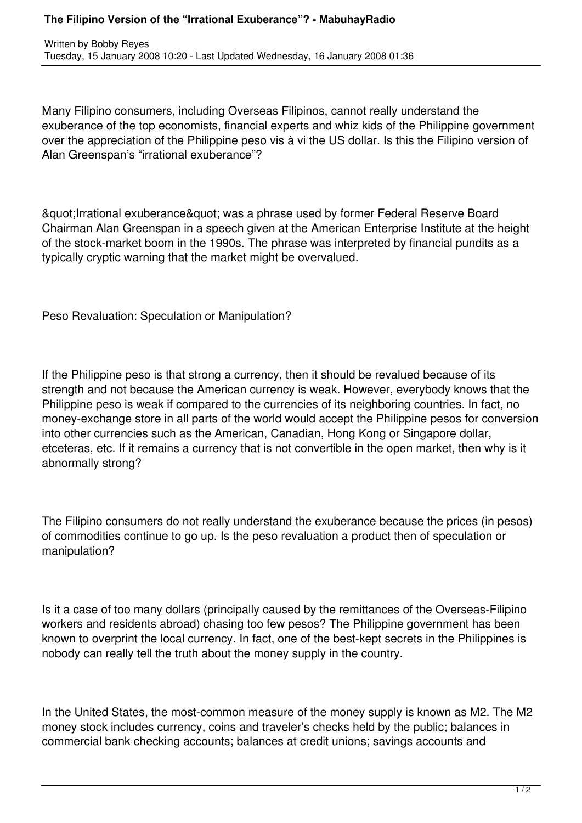## **The Filipino Version of the "Irrational Exuberance"? - MabuhayRadio**

Many Filipino consumers, including Overseas Filipinos, cannot really understand the exuberance of the top economists, financial experts and whiz kids of the Philippine government over the appreciation of the Philippine peso vis à vi the US dollar. Is this the Filipino version of Alan Greenspan's "irrational exuberance"?

& quot; Irrational exuberance & quot; was a phrase used by former Federal Reserve Board Chairman Alan Greenspan in a speech given at the American Enterprise Institute at the height of the stock-market boom in the 1990s. The phrase was interpreted by financial pundits as a typically cryptic warning that the market might be overvalued.

Peso Revaluation: Speculation or Manipulation?

If the Philippine peso is that strong a currency, then it should be revalued because of its strength and not because the American currency is weak. However, everybody knows that the Philippine peso is weak if compared to the currencies of its neighboring countries. In fact, no money-exchange store in all parts of the world would accept the Philippine pesos for conversion into other currencies such as the American, Canadian, Hong Kong or Singapore dollar, etceteras, etc. If it remains a currency that is not convertible in the open market, then why is it abnormally strong?

The Filipino consumers do not really understand the exuberance because the prices (in pesos) of commodities continue to go up. Is the peso revaluation a product then of speculation or manipulation?

Is it a case of too many dollars (principally caused by the remittances of the Overseas-Filipino workers and residents abroad) chasing too few pesos? The Philippine government has been known to overprint the local currency. In fact, one of the best-kept secrets in the Philippines is nobody can really tell the truth about the money supply in the country.

In the United States, the most-common measure of the money supply is known as M2. The M2 money stock includes currency, coins and traveler's checks held by the public; balances in commercial bank checking accounts; balances at credit unions; savings accounts and